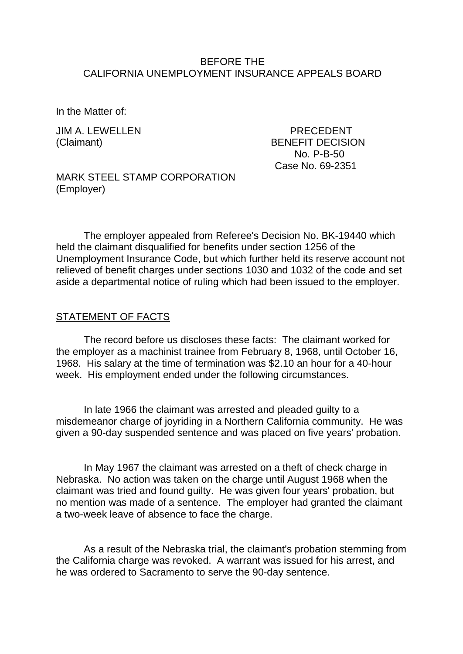## BEFORE THE CALIFORNIA UNEMPLOYMENT INSURANCE APPEALS BOARD

In the Matter of:

JIM A. LEWELLEN PRECEDENT

(Claimant) BENEFIT DECISION No. P-B-50 Case No. 69-2351

MARK STEEL STAMP CORPORATION (Employer)

The employer appealed from Referee's Decision No. BK-19440 which held the claimant disqualified for benefits under section 1256 of the Unemployment Insurance Code, but which further held its reserve account not relieved of benefit charges under sections 1030 and 1032 of the code and set aside a departmental notice of ruling which had been issued to the employer.

## STATEMENT OF FACTS

The record before us discloses these facts: The claimant worked for the employer as a machinist trainee from February 8, 1968, until October 16, 1968. His salary at the time of termination was \$2.10 an hour for a 40-hour week. His employment ended under the following circumstances.

In late 1966 the claimant was arrested and pleaded guilty to a misdemeanor charge of joyriding in a Northern California community. He was given a 90-day suspended sentence and was placed on five years' probation.

In May 1967 the claimant was arrested on a theft of check charge in Nebraska. No action was taken on the charge until August 1968 when the claimant was tried and found guilty. He was given four years' probation, but no mention was made of a sentence. The employer had granted the claimant a two-week leave of absence to face the charge.

As a result of the Nebraska trial, the claimant's probation stemming from the California charge was revoked. A warrant was issued for his arrest, and he was ordered to Sacramento to serve the 90-day sentence.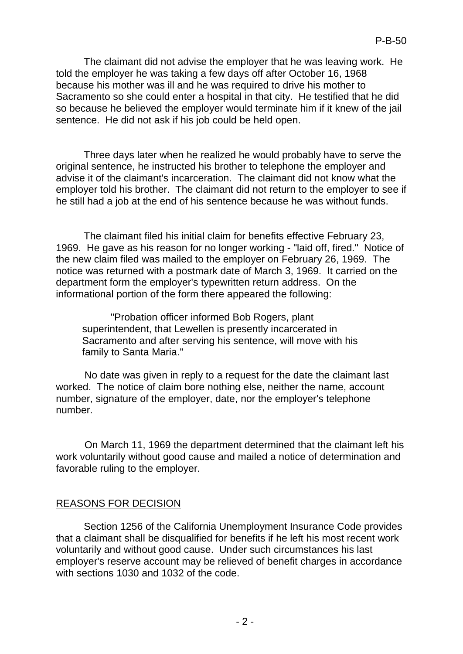The claimant did not advise the employer that he was leaving work. He told the employer he was taking a few days off after October 16, 1968 because his mother was ill and he was required to drive his mother to Sacramento so she could enter a hospital in that city. He testified that he did so because he believed the employer would terminate him if it knew of the jail sentence. He did not ask if his job could be held open.

Three days later when he realized he would probably have to serve the original sentence, he instructed his brother to telephone the employer and advise it of the claimant's incarceration. The claimant did not know what the employer told his brother. The claimant did not return to the employer to see if he still had a job at the end of his sentence because he was without funds.

The claimant filed his initial claim for benefits effective February 23, 1969. He gave as his reason for no longer working - "laid off, fired." Notice of the new claim filed was mailed to the employer on February 26, 1969. The notice was returned with a postmark date of March 3, 1969. It carried on the department form the employer's typewritten return address. On the informational portion of the form there appeared the following:

"Probation officer informed Bob Rogers, plant superintendent, that Lewellen is presently incarcerated in Sacramento and after serving his sentence, will move with his family to Santa Maria."

No date was given in reply to a request for the date the claimant last worked. The notice of claim bore nothing else, neither the name, account number, signature of the employer, date, nor the employer's telephone number.

On March 11, 1969 the department determined that the claimant left his work voluntarily without good cause and mailed a notice of determination and favorable ruling to the employer.

## REASONS FOR DECISION

Section 1256 of the California Unemployment Insurance Code provides that a claimant shall be disqualified for benefits if he left his most recent work voluntarily and without good cause. Under such circumstances his last employer's reserve account may be relieved of benefit charges in accordance with sections 1030 and 1032 of the code.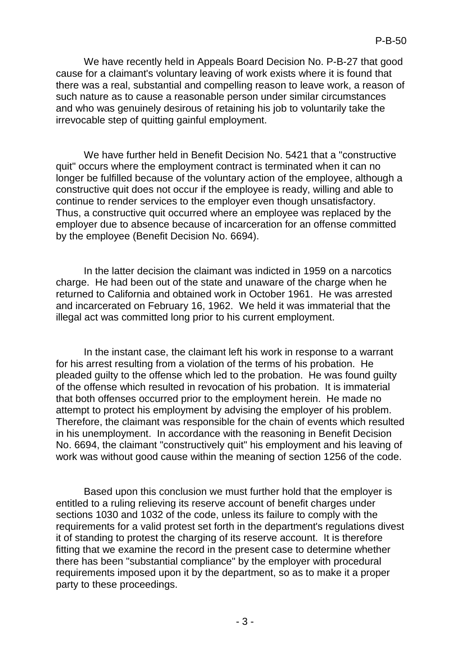We have recently held in Appeals Board Decision No. P-B-27 that good cause for a claimant's voluntary leaving of work exists where it is found that there was a real, substantial and compelling reason to leave work, a reason of such nature as to cause a reasonable person under similar circumstances and who was genuinely desirous of retaining his job to voluntarily take the irrevocable step of quitting gainful employment.

We have further held in Benefit Decision No. 5421 that a "constructive quit" occurs where the employment contract is terminated when it can no longer be fulfilled because of the voluntary action of the employee, although a constructive quit does not occur if the employee is ready, willing and able to continue to render services to the employer even though unsatisfactory. Thus, a constructive quit occurred where an employee was replaced by the employer due to absence because of incarceration for an offense committed by the employee (Benefit Decision No. 6694).

In the latter decision the claimant was indicted in 1959 on a narcotics charge. He had been out of the state and unaware of the charge when he returned to California and obtained work in October 1961. He was arrested and incarcerated on February 16, 1962. We held it was immaterial that the illegal act was committed long prior to his current employment.

In the instant case, the claimant left his work in response to a warrant for his arrest resulting from a violation of the terms of his probation. He pleaded guilty to the offense which led to the probation. He was found guilty of the offense which resulted in revocation of his probation. It is immaterial that both offenses occurred prior to the employment herein. He made no attempt to protect his employment by advising the employer of his problem. Therefore, the claimant was responsible for the chain of events which resulted in his unemployment. In accordance with the reasoning in Benefit Decision No. 6694, the claimant "constructively quit" his employment and his leaving of work was without good cause within the meaning of section 1256 of the code.

Based upon this conclusion we must further hold that the employer is entitled to a ruling relieving its reserve account of benefit charges under sections 1030 and 1032 of the code, unless its failure to comply with the requirements for a valid protest set forth in the department's regulations divest it of standing to protest the charging of its reserve account. It is therefore fitting that we examine the record in the present case to determine whether there has been "substantial compliance" by the employer with procedural requirements imposed upon it by the department, so as to make it a proper party to these proceedings.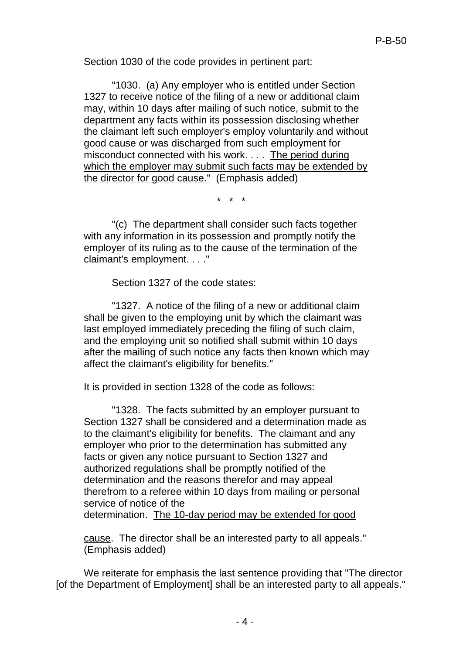Section 1030 of the code provides in pertinent part:

"1030. (a) Any employer who is entitled under Section 1327 to receive notice of the filing of a new or additional claim may, within 10 days after mailing of such notice, submit to the department any facts within its possession disclosing whether the claimant left such employer's employ voluntarily and without good cause or was discharged from such employment for misconduct connected with his work. . . . The period during which the employer may submit such facts may be extended by the director for good cause." (Emphasis added)

\* \* \*

"(c) The department shall consider such facts together with any information in its possession and promptly notify the employer of its ruling as to the cause of the termination of the claimant's employment. . . ."

Section 1327 of the code states:

"1327. A notice of the filing of a new or additional claim shall be given to the employing unit by which the claimant was last employed immediately preceding the filing of such claim, and the employing unit so notified shall submit within 10 days after the mailing of such notice any facts then known which may affect the claimant's eligibility for benefits."

It is provided in section 1328 of the code as follows:

"1328. The facts submitted by an employer pursuant to Section 1327 shall be considered and a determination made as to the claimant's eligibility for benefits. The claimant and any employer who prior to the determination has submitted any facts or given any notice pursuant to Section 1327 and authorized regulations shall be promptly notified of the determination and the reasons therefor and may appeal therefrom to a referee within 10 days from mailing or personal service of notice of the determination. The 10-day period may be extended for good

cause. The director shall be an interested party to all appeals." (Emphasis added)

We reiterate for emphasis the last sentence providing that "The director [of the Department of Employment] shall be an interested party to all appeals."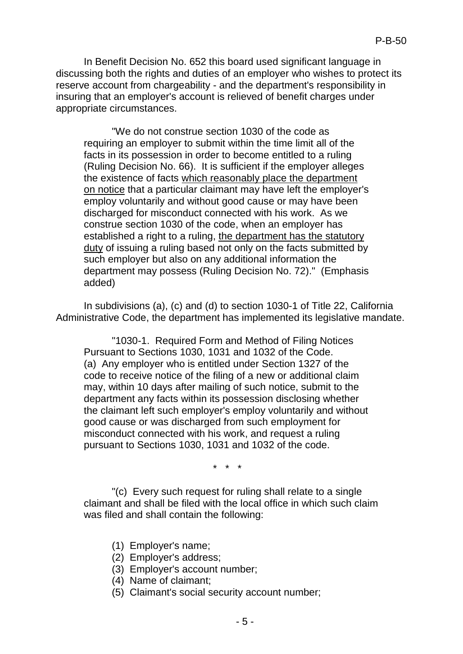In Benefit Decision No. 652 this board used significant language in discussing both the rights and duties of an employer who wishes to protect its reserve account from chargeability - and the department's responsibility in insuring that an employer's account is relieved of benefit charges under appropriate circumstances.

"We do not construe section 1030 of the code as requiring an employer to submit within the time limit all of the facts in its possession in order to become entitled to a ruling (Ruling Decision No. 66). It is sufficient if the employer alleges the existence of facts which reasonably place the department on notice that a particular claimant may have left the employer's employ voluntarily and without good cause or may have been discharged for misconduct connected with his work. As we construe section 1030 of the code, when an employer has established a right to a ruling, the department has the statutory duty of issuing a ruling based not only on the facts submitted by such employer but also on any additional information the department may possess (Ruling Decision No. 72)." (Emphasis added)

In subdivisions (a), (c) and (d) to section 1030-1 of Title 22, California Administrative Code, the department has implemented its legislative mandate.

"1030-1. Required Form and Method of Filing Notices Pursuant to Sections 1030, 1031 and 1032 of the Code. (a) Any employer who is entitled under Section 1327 of the code to receive notice of the filing of a new or additional claim may, within 10 days after mailing of such notice, submit to the department any facts within its possession disclosing whether the claimant left such employer's employ voluntarily and without good cause or was discharged from such employment for misconduct connected with his work, and request a ruling pursuant to Sections 1030, 1031 and 1032 of the code.

\* \* \*

"(c) Every such request for ruling shall relate to a single claimant and shall be filed with the local office in which such claim was filed and shall contain the following:

- (1) Employer's name;
- (2) Employer's address;
- (3) Employer's account number;
- (4) Name of claimant;
- (5) Claimant's social security account number;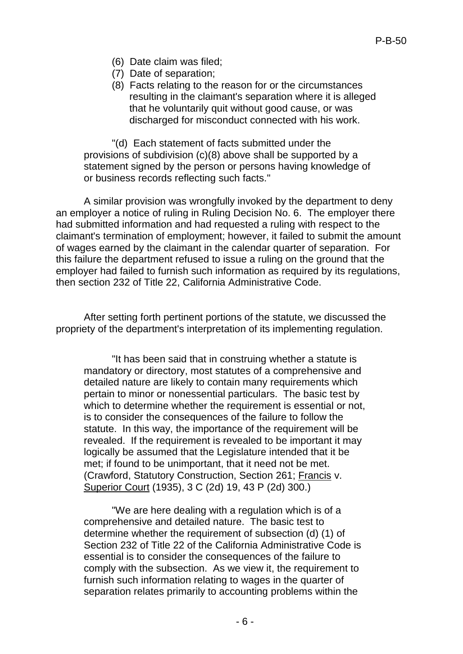- (6) Date claim was filed;
- (7) Date of separation;
- (8) Facts relating to the reason for or the circumstances resulting in the claimant's separation where it is alleged that he voluntarily quit without good cause, or was discharged for misconduct connected with his work.

"(d) Each statement of facts submitted under the provisions of subdivision (c)(8) above shall be supported by a statement signed by the person or persons having knowledge of or business records reflecting such facts."

A similar provision was wrongfully invoked by the department to deny an employer a notice of ruling in Ruling Decision No. 6. The employer there had submitted information and had requested a ruling with respect to the claimant's termination of employment; however, it failed to submit the amount of wages earned by the claimant in the calendar quarter of separation. For this failure the department refused to issue a ruling on the ground that the employer had failed to furnish such information as required by its regulations, then section 232 of Title 22, California Administrative Code.

After setting forth pertinent portions of the statute, we discussed the propriety of the department's interpretation of its implementing regulation.

"It has been said that in construing whether a statute is mandatory or directory, most statutes of a comprehensive and detailed nature are likely to contain many requirements which pertain to minor or nonessential particulars. The basic test by which to determine whether the requirement is essential or not, is to consider the consequences of the failure to follow the statute. In this way, the importance of the requirement will be revealed. If the requirement is revealed to be important it may logically be assumed that the Legislature intended that it be met; if found to be unimportant, that it need not be met. (Crawford, Statutory Construction, Section 261; Francis v. Superior Court (1935), 3 C (2d) 19, 43 P (2d) 300.)

"We are here dealing with a regulation which is of a comprehensive and detailed nature. The basic test to determine whether the requirement of subsection (d) (1) of Section 232 of Title 22 of the California Administrative Code is essential is to consider the consequences of the failure to comply with the subsection. As we view it, the requirement to furnish such information relating to wages in the quarter of separation relates primarily to accounting problems within the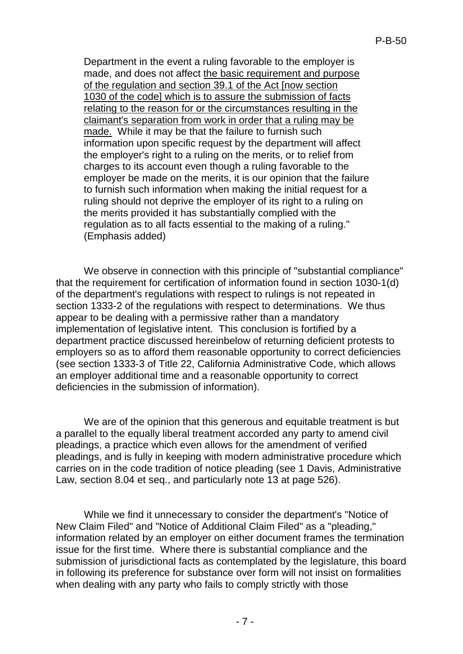Department in the event a ruling favorable to the employer is made, and does not affect the basic requirement and purpose of the regulation and section 39.1 of the Act [now section 1030 of the code] which is to assure the submission of facts relating to the reason for or the circumstances resulting in the claimant's separation from work in order that a ruling may be made. While it may be that the failure to furnish such information upon specific request by the department will affect the employer's right to a ruling on the merits, or to relief from charges to its account even though a ruling favorable to the employer be made on the merits, it is our opinion that the failure to furnish such information when making the initial request for a ruling should not deprive the employer of its right to a ruling on the merits provided it has substantially complied with the regulation as to all facts essential to the making of a ruling." (Emphasis added)

We observe in connection with this principle of "substantial compliance" that the requirement for certification of information found in section 1030-1(d) of the department's regulations with respect to rulings is not repeated in section 1333-2 of the regulations with respect to determinations. We thus appear to be dealing with a permissive rather than a mandatory implementation of legislative intent. This conclusion is fortified by a department practice discussed hereinbelow of returning deficient protests to employers so as to afford them reasonable opportunity to correct deficiencies (see section 1333-3 of Title 22, California Administrative Code, which allows an employer additional time and a reasonable opportunity to correct deficiencies in the submission of information).

We are of the opinion that this generous and equitable treatment is but a parallel to the equally liberal treatment accorded any party to amend civil pleadings, a practice which even allows for the amendment of verified pleadings, and is fully in keeping with modern administrative procedure which carries on in the code tradition of notice pleading (see 1 Davis, Administrative Law, section 8.04 et seq., and particularly note 13 at page 526).

While we find it unnecessary to consider the department's "Notice of New Claim Filed" and "Notice of Additional Claim Filed" as a "pleading," information related by an employer on either document frames the termination issue for the first time. Where there is substantial compliance and the submission of jurisdictional facts as contemplated by the legislature, this board in following its preference for substance over form will not insist on formalities when dealing with any party who fails to comply strictly with those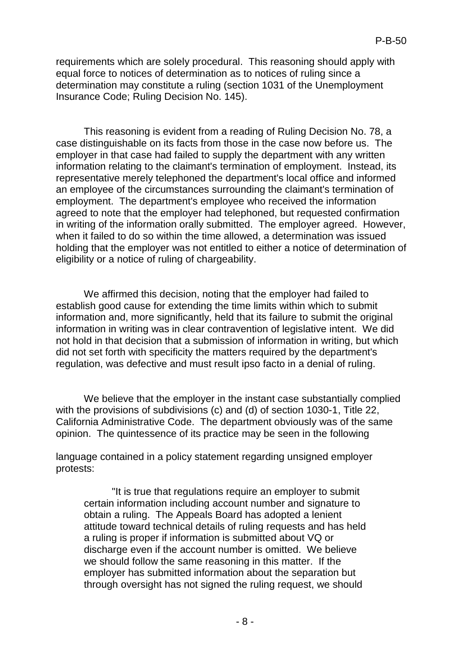requirements which are solely procedural. This reasoning should apply with equal force to notices of determination as to notices of ruling since a determination may constitute a ruling (section 1031 of the Unemployment Insurance Code; Ruling Decision No. 145).

This reasoning is evident from a reading of Ruling Decision No. 78, a case distinguishable on its facts from those in the case now before us. The employer in that case had failed to supply the department with any written information relating to the claimant's termination of employment. Instead, its representative merely telephoned the department's local office and informed an employee of the circumstances surrounding the claimant's termination of employment. The department's employee who received the information agreed to note that the employer had telephoned, but requested confirmation in writing of the information orally submitted. The employer agreed. However, when it failed to do so within the time allowed, a determination was issued holding that the employer was not entitled to either a notice of determination of eligibility or a notice of ruling of chargeability.

We affirmed this decision, noting that the employer had failed to establish good cause for extending the time limits within which to submit information and, more significantly, held that its failure to submit the original information in writing was in clear contravention of legislative intent. We did not hold in that decision that a submission of information in writing, but which did not set forth with specificity the matters required by the department's regulation, was defective and must result ipso facto in a denial of ruling.

We believe that the employer in the instant case substantially complied with the provisions of subdivisions (c) and (d) of section 1030-1, Title 22, California Administrative Code. The department obviously was of the same opinion. The quintessence of its practice may be seen in the following

language contained in a policy statement regarding unsigned employer protests:

"It is true that regulations require an employer to submit certain information including account number and signature to obtain a ruling. The Appeals Board has adopted a lenient attitude toward technical details of ruling requests and has held a ruling is proper if information is submitted about VQ or discharge even if the account number is omitted. We believe we should follow the same reasoning in this matter. If the employer has submitted information about the separation but through oversight has not signed the ruling request, we should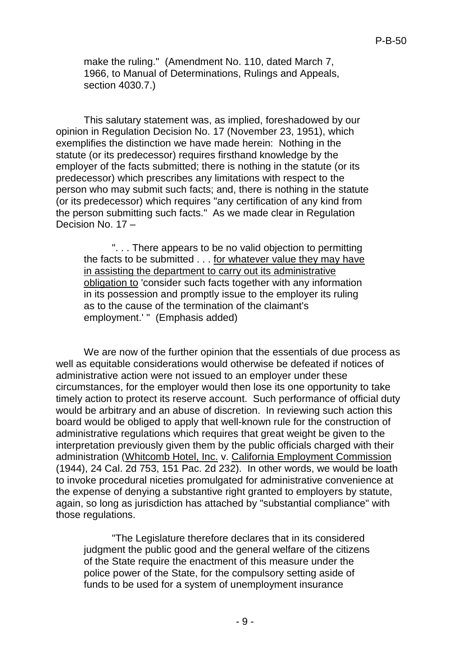make the ruling." (Amendment No. 110, dated March 7, 1966, to Manual of Determinations, Rulings and Appeals, section 4030.7.)

This salutary statement was, as implied, foreshadowed by our opinion in Regulation Decision No. 17 (November 23, 1951), which exemplifies the distinction we have made herein: Nothing in the statute (or its predecessor) requires firsthand knowledge by the employer of the facts submitted; there is nothing in the statute (or its predecessor) which prescribes any limitations with respect to the person who may submit such facts; and, there is nothing in the statute (or its predecessor) which requires "any certification of any kind from the person submitting such facts." As we made clear in Regulation Decision No. 17 –

". . . There appears to be no valid objection to permitting the facts to be submitted . . . for whatever value they may have in assisting the department to carry out its administrative obligation to 'consider such facts together with any information in its possession and promptly issue to the employer its ruling as to the cause of the termination of the claimant's employment.' " (Emphasis added)

We are now of the further opinion that the essentials of due process as well as equitable considerations would otherwise be defeated if notices of administrative action were not issued to an employer under these circumstances, for the employer would then lose its one opportunity to take timely action to protect its reserve account. Such performance of official duty would be arbitrary and an abuse of discretion. In reviewing such action this board would be obliged to apply that well-known rule for the construction of administrative regulations which requires that great weight be given to the interpretation previously given them by the public officials charged with their administration (Whitcomb Hotel, Inc. v. California Employment Commission (1944), 24 Cal. 2d 753, 151 Pac. 2d 232). In other words, we would be loath to invoke procedural niceties promulgated for administrative convenience at the expense of denying a substantive right granted to employers by statute, again, so long as jurisdiction has attached by "substantial compliance" with those regulations.

"The Legislature therefore declares that in its considered judgment the public good and the general welfare of the citizens of the State require the enactment of this measure under the police power of the State, for the compulsory setting aside of funds to be used for a system of unemployment insurance